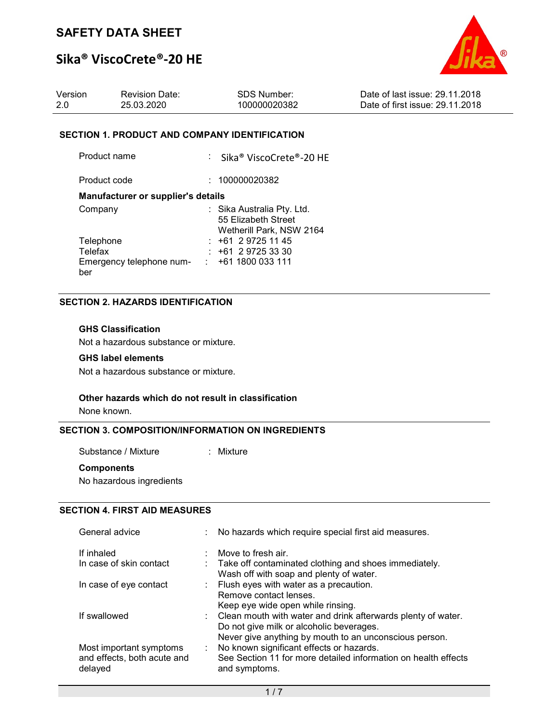# Sika® ViscoCrete®-20 HE



| Version | <b>Revision Date:</b> | SDS Number:  | Date of last issue: 29.11.2018  |
|---------|-----------------------|--------------|---------------------------------|
|         | 25.03.2020            | 100000020382 | Date of first issue: 29.11.2018 |

#### SECTION 1. PRODUCT AND COMPANY IDENTIFICATION

| Product name                              | : Sika® ViscoCrete®-20 HE                                                     |
|-------------------------------------------|-------------------------------------------------------------------------------|
| Product code                              | : 100000020382                                                                |
| <b>Manufacturer or supplier's details</b> |                                                                               |
| Company                                   | : Sika Australia Pty. Ltd.<br>55 Elizabeth Street<br>Wetherill Park, NSW 2164 |
| Telephone                                 | $: +61297251145$                                                              |
| Telefax                                   | $: +61297253330$                                                              |
| Emergency telephone num-<br>ber           | : 4611800033111                                                               |

### SECTION 2. HAZARDS IDENTIFICATION

#### GHS Classification

Not a hazardous substance or mixture.

#### GHS label elements

Not a hazardous substance or mixture.

#### Other hazards which do not result in classification

None known.

#### SECTION 3. COMPOSITION/INFORMATION ON INGREDIENTS

Substance / Mixture : Mixture

#### **Components**

No hazardous ingredients

## SECTION 4. FIRST AID MEASURES

| General advice                                                    |    | No hazards which require special first aid measures.                                                                                                                 |
|-------------------------------------------------------------------|----|----------------------------------------------------------------------------------------------------------------------------------------------------------------------|
| If inhaled<br>In case of skin contact                             |    | Move to fresh air.<br>: Take off contaminated clothing and shoes immediately.                                                                                        |
|                                                                   |    | Wash off with soap and plenty of water.                                                                                                                              |
| In case of eye contact                                            |    | : Flush eyes with water as a precaution.<br>Remove contact lenses.<br>Keep eye wide open while rinsing.                                                              |
| If swallowed                                                      |    | : Clean mouth with water and drink afterwards plenty of water.<br>Do not give milk or alcoholic beverages.<br>Never give anything by mouth to an unconscious person. |
| Most important symptoms<br>and effects, both acute and<br>delayed | ÷. | No known significant effects or hazards.<br>See Section 11 for more detailed information on health effects<br>and symptoms.                                          |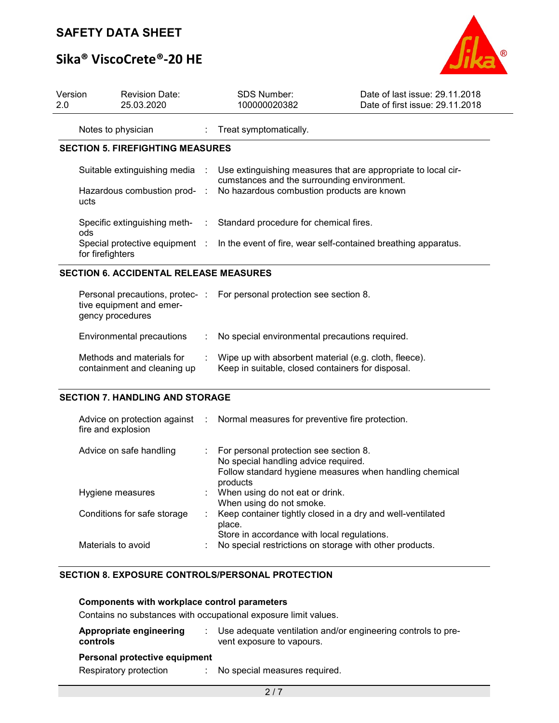# Sika® ViscoCrete®-20 HE



| Version<br>2.0 | <b>Revision Date:</b><br>25.03.2020           |               | SDS Number:<br>100000020382                                                                                  | Date of last issue: 29.11.2018<br>Date of first issue: 29.11.2018 |
|----------------|-----------------------------------------------|---------------|--------------------------------------------------------------------------------------------------------------|-------------------------------------------------------------------|
|                | Notes to physician                            |               | $:$ Treat symptomatically.                                                                                   |                                                                   |
|                | <b>SECTION 5. FIREFIGHTING MEASURES</b>       |               |                                                                                                              |                                                                   |
|                | Suitable extinguishing media :                |               | Use extinguishing measures that are appropriate to local cir-<br>cumstances and the surrounding environment. |                                                                   |
|                | Hazardous combustion prod- :<br>ucts          |               | No hazardous combustion products are known                                                                   |                                                                   |
|                | Specific extinguishing meth-<br>ods.          | $\mathcal{L}$ | Standard procedure for chemical fires.                                                                       |                                                                   |
|                | for firefighters                              |               | Special protective equipment : In the event of fire, wear self-contained breathing apparatus.                |                                                                   |
|                | <b>SECTION 6. ACCIDENTAL RELEASE MEASURES</b> |               |                                                                                                              |                                                                   |
|                |                                               |               | Personal precautions, protec- : For personal protection see section 8.                                       |                                                                   |

| tive equipment and emer-<br>gency procedures             |                                                                                                            |
|----------------------------------------------------------|------------------------------------------------------------------------------------------------------------|
| Environmental precautions                                | : No special environmental precautions required.                                                           |
| Methods and materials for<br>containment and cleaning up | Wipe up with absorbent material (e.g. cloth, fleece).<br>Keep in suitable, closed containers for disposal. |

### SECTION 7. HANDLING AND STORAGE

| fire and explosion          | Advice on protection against : Normal measures for preventive fire protection.                                                                          |
|-----------------------------|---------------------------------------------------------------------------------------------------------------------------------------------------------|
| Advice on safe handling     | : For personal protection see section 8.<br>No special handling advice required.<br>Follow standard hygiene measures when handling chemical<br>products |
| Hygiene measures            | : When using do not eat or drink.<br>When using do not smoke.                                                                                           |
| Conditions for safe storage | : Keep container tightly closed in a dry and well-ventilated<br>place.<br>Store in accordance with local regulations.                                   |
| Materials to avoid          | No special restrictions on storage with other products.                                                                                                 |

## SECTION 8. EXPOSURE CONTROLS/PERSONAL PROTECTION

## Components with workplace control parameters

Contains no substances with occupational exposure limit values.

| Appropriate engineering<br>controls | Use adequate ventilation and/or engineering controls to pre-<br>vent exposure to vapours. |
|-------------------------------------|-------------------------------------------------------------------------------------------|
| Personal protective equipment       |                                                                                           |
| Respiratory protection              | : No special measures required.                                                           |
|                                     |                                                                                           |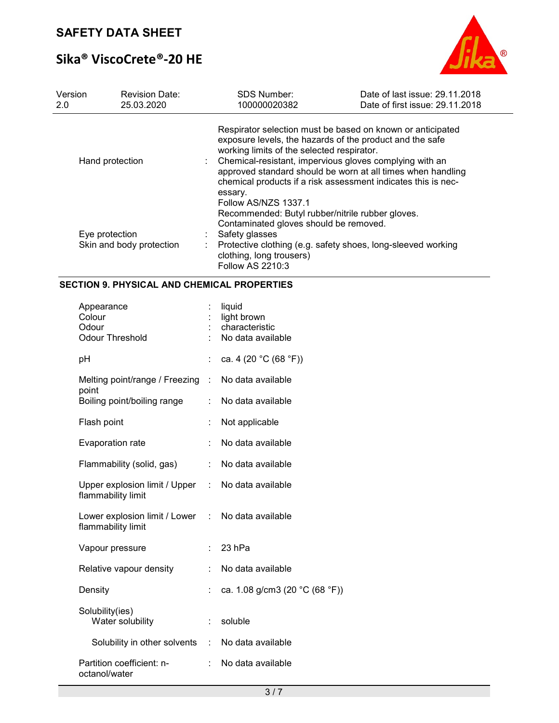# Sika® ViscoCrete®-20 HE



| Version<br>2.0                                                | <b>Revision Date:</b><br>25.03.2020 | <b>SDS Number:</b><br>100000020382                                                                                                                                                                                                                                                                                                                                                                      | Date of last issue: 29.11.2018<br>Date of first issue: 29.11.2018 |
|---------------------------------------------------------------|-------------------------------------|---------------------------------------------------------------------------------------------------------------------------------------------------------------------------------------------------------------------------------------------------------------------------------------------------------------------------------------------------------------------------------------------------------|-------------------------------------------------------------------|
| Hand protection<br>Eye protection<br>Skin and body protection |                                     | Respirator selection must be based on known or anticipated<br>exposure levels, the hazards of the product and the safe<br>working limits of the selected respirator.<br>Chemical-resistant, impervious gloves complying with an<br>÷<br>approved standard should be worn at all times when handling<br>chemical products if a risk assessment indicates this is nec-<br>essary.<br>Follow AS/NZS 1337.1 |                                                                   |
|                                                               |                                     | Recommended: Butyl rubber/nitrile rubber gloves.<br>Contaminated gloves should be removed.<br>Safety glasses<br>Protective clothing (e.g. safety shoes, long-sleeved working<br>÷<br>clothing, long trousers)<br>Follow AS 2210:3                                                                                                                                                                       |                                                                   |

## SECTION 9. PHYSICAL AND CHEMICAL PROPERTIES

| Appearance<br>Colour<br>Odour<br><b>Odour Threshold</b>                 |    | liquid<br>light brown<br>characteristic<br>No data available |
|-------------------------------------------------------------------------|----|--------------------------------------------------------------|
| рH                                                                      |    | ca. 4 (20 °C (68 °F))                                        |
| Melting point/range / Freezing :<br>point                               |    | No data available                                            |
| Boiling point/boiling range                                             | ÷. | No data available                                            |
| Flash point                                                             | ÷  | Not applicable                                               |
| Evaporation rate                                                        |    | No data available                                            |
| Flammability (solid, gas)                                               | ÷. | No data available                                            |
| Upper explosion limit / Upper : No data available<br>flammability limit |    |                                                              |
| Lower explosion limit / Lower : No data available<br>flammability limit |    |                                                              |
| Vapour pressure                                                         |    | 23 hPa                                                       |
| Relative vapour density                                                 |    | No data available                                            |
| Density                                                                 |    | ca. 1.08 g/cm3 (20 °C (68 °F))                               |
| Solubility(ies)<br>Water solubility                                     | t. | soluble                                                      |
| Solubility in other solvents                                            |    | : No data available                                          |
| Partition coefficient: n-<br>octanol/water                              |    | No data available                                            |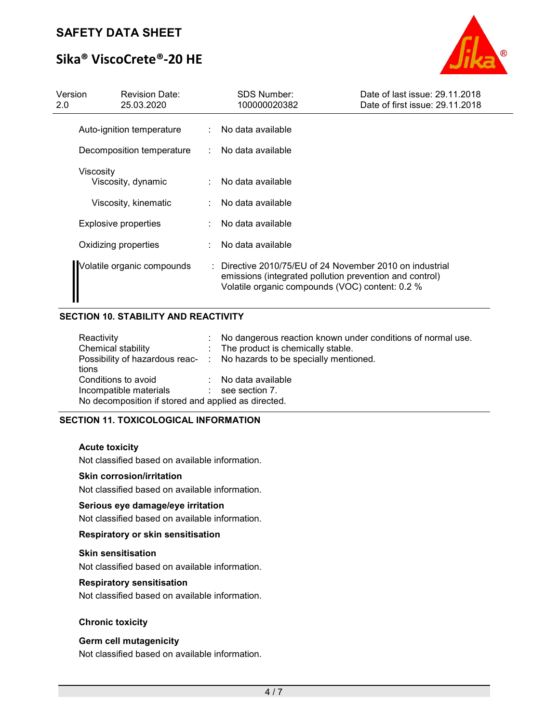# Sika® ViscoCrete®-20 HE



| Version<br>2.0 |           | <b>Revision Date:</b><br>25.03.2020 | SDS Number:<br>100000020382                                                                                                                                          | Date of last issue: 29.11.2018<br>Date of first issue: 29.11.2018 |
|----------------|-----------|-------------------------------------|----------------------------------------------------------------------------------------------------------------------------------------------------------------------|-------------------------------------------------------------------|
|                |           | Auto-ignition temperature           | : No data available                                                                                                                                                  |                                                                   |
|                |           | Decomposition temperature           | No data available                                                                                                                                                    |                                                                   |
|                | Viscosity | Viscosity, dynamic                  | : No data available                                                                                                                                                  |                                                                   |
|                |           | Viscosity, kinematic                | No data available                                                                                                                                                    |                                                                   |
|                |           | <b>Explosive properties</b>         | No data available                                                                                                                                                    |                                                                   |
|                |           | Oxidizing properties                | No data available                                                                                                                                                    |                                                                   |
|                |           | Volatile organic compounds          | Directive 2010/75/EU of 24 November 2010 on industrial<br>emissions (integrated pollution prevention and control)<br>Volatile organic compounds (VOC) content: 0.2 % |                                                                   |

## SECTION 10. STABILITY AND REACTIVITY

| Reactivity                                          |  | : No dangerous reaction known under conditions of normal use.          |  |  |  |
|-----------------------------------------------------|--|------------------------------------------------------------------------|--|--|--|
| Chemical stability                                  |  | : The product is chemically stable.                                    |  |  |  |
|                                                     |  | Possibility of hazardous reac- : No hazards to be specially mentioned. |  |  |  |
| tions                                               |  |                                                                        |  |  |  |
| Conditions to avoid                                 |  | : No data available                                                    |  |  |  |
| Incompatible materials                              |  | $\therefore$ see section 7.                                            |  |  |  |
| No decomposition if stored and applied as directed. |  |                                                                        |  |  |  |

### SECTION 11. TOXICOLOGICAL INFORMATION

#### Acute toxicity

Not classified based on available information.

#### Skin corrosion/irritation

Not classified based on available information.

#### Serious eye damage/eye irritation

Not classified based on available information.

#### Respiratory or skin sensitisation

#### Skin sensitisation

Not classified based on available information.

#### Respiratory sensitisation

Not classified based on available information.

#### Chronic toxicity

#### Germ cell mutagenicity

Not classified based on available information.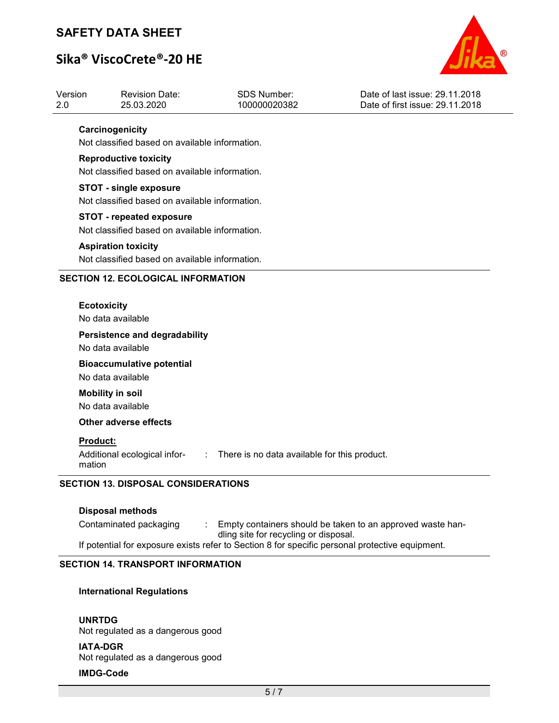# Sika® ViscoCrete®-20 HE



| Version<br>2.0 | <b>Revision Date:</b><br>25.03.2020                                                             | <b>SDS Number:</b><br>100000020382           | Date of last issue: 29.11.2018<br>Date of first issue: 29.11.2018 |  |  |  |  |  |
|----------------|-------------------------------------------------------------------------------------------------|----------------------------------------------|-------------------------------------------------------------------|--|--|--|--|--|
|                | Carcinogenicity<br>Not classified based on available information.                               |                                              |                                                                   |  |  |  |  |  |
|                | <b>Reproductive toxicity</b><br>Not classified based on available information.                  |                                              |                                                                   |  |  |  |  |  |
|                | <b>STOT - single exposure</b><br>Not classified based on available information.                 |                                              |                                                                   |  |  |  |  |  |
|                | <b>STOT - repeated exposure</b><br>Not classified based on available information.               |                                              |                                                                   |  |  |  |  |  |
|                | <b>Aspiration toxicity</b><br>Not classified based on available information.                    |                                              |                                                                   |  |  |  |  |  |
|                | <b>SECTION 12. ECOLOGICAL INFORMATION</b>                                                       |                                              |                                                                   |  |  |  |  |  |
|                | <b>Ecotoxicity</b><br>No data available                                                         |                                              |                                                                   |  |  |  |  |  |
|                | <b>Persistence and degradability</b><br>No data available                                       |                                              |                                                                   |  |  |  |  |  |
|                | <b>Bioaccumulative potential</b><br>No data available                                           |                                              |                                                                   |  |  |  |  |  |
|                | <b>Mobility in soil</b><br>No data available                                                    |                                              |                                                                   |  |  |  |  |  |
|                | <b>Other adverse effects</b>                                                                    |                                              |                                                                   |  |  |  |  |  |
|                | <b>Product:</b><br>Additional ecological infor-<br>$\sim 100$<br>mation                         | There is no data available for this product. |                                                                   |  |  |  |  |  |
|                | <b>SECTION 13. DISPOSAL CONSIDERATIONS</b>                                                      |                                              |                                                                   |  |  |  |  |  |
|                | <b>Disposal methods</b>                                                                         |                                              |                                                                   |  |  |  |  |  |
|                | Contaminated packaging<br>÷                                                                     | dling site for recycling or disposal.        | Empty containers should be taken to an approved waste han-        |  |  |  |  |  |
|                | If potential for exposure exists refer to Section 8 for specific personal protective equipment. |                                              |                                                                   |  |  |  |  |  |

### SECTION 14. TRANSPORT INFORMATION

### International Regulations

#### UNRTDG

Not regulated as a dangerous good

#### IATA-DGR

Not regulated as a dangerous good

### IMDG-Code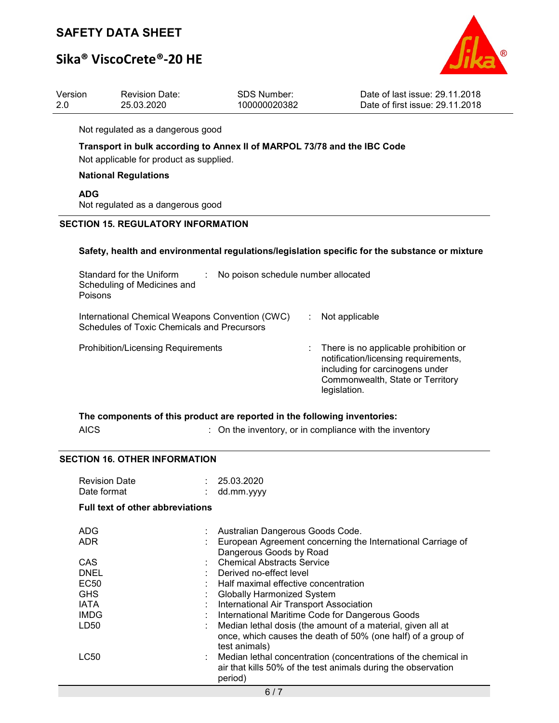# Sika® ViscoCrete®-20 HE



| Version | <b>Revision Date:</b> | SDS Number:  | Date of last issue: 29.11.2018  |
|---------|-----------------------|--------------|---------------------------------|
| -2.0    | 25.03.2020            | 100000020382 | Date of first issue: 29.11.2018 |

Not regulated as a dangerous good

## Transport in bulk according to Annex II of MARPOL 73/78 and the IBC Code

Not applicable for product as supplied.

#### National Regulations

ADG

Not regulated as a dangerous good

## SECTION 15. REGULATORY INFORMATION

#### Safety, health and environmental regulations/legislation specific for the substance or mixture

| Standard for the Uniform<br>No poison schedule number allocated<br>Scheduling of Medicines and<br>Poisons |                                                                                                                                                                      |
|-----------------------------------------------------------------------------------------------------------|----------------------------------------------------------------------------------------------------------------------------------------------------------------------|
| International Chemical Weapons Convention (CWC)<br>Schedules of Toxic Chemicals and Precursors            | Not applicable                                                                                                                                                       |
| <b>Prohibition/Licensing Requirements</b>                                                                 | There is no applicable prohibition or<br>notification/licensing requirements,<br>including for carcinogens under<br>Commonwealth, State or Territory<br>legislation. |

|      | The components of this product are reported in the following inventories: |  |
|------|---------------------------------------------------------------------------|--|
| AICS | $\therefore$ On the inventory, or in compliance with the inventory        |  |

#### SECTION 16. OTHER INFORMATION

| <b>Revision Date</b><br>Date format                                 | : 25.03.2020<br>dd.mm.yyyy                                                                                                                                                                                                    |
|---------------------------------------------------------------------|-------------------------------------------------------------------------------------------------------------------------------------------------------------------------------------------------------------------------------|
| <b>Full text of other abbreviations</b>                             |                                                                                                                                                                                                                               |
| <b>ADG</b><br>ADR.                                                  | : Australian Dangerous Goods Code.<br>European Agreement concerning the International Carriage of<br>Dangerous Goods by Road                                                                                                  |
| CAS<br><b>DNEL</b><br>EC <sub>50</sub><br><b>GHS</b><br><b>IATA</b> | <b>Chemical Abstracts Service</b><br>: Derived no-effect level<br>Half maximal effective concentration<br><b>Globally Harmonized System</b><br>International Air Transport Association                                        |
| <b>IMDG</b><br>LD50                                                 | International Maritime Code for Dangerous Goods<br>Median lethal dosis (the amount of a material, given all at                                                                                                                |
| LC50                                                                | once, which causes the death of 50% (one half) of a group of<br>test animals)<br>: Median lethal concentration (concentrations of the chemical in<br>air that kills 50% of the test animals during the observation<br>period) |
|                                                                     | 6/7                                                                                                                                                                                                                           |